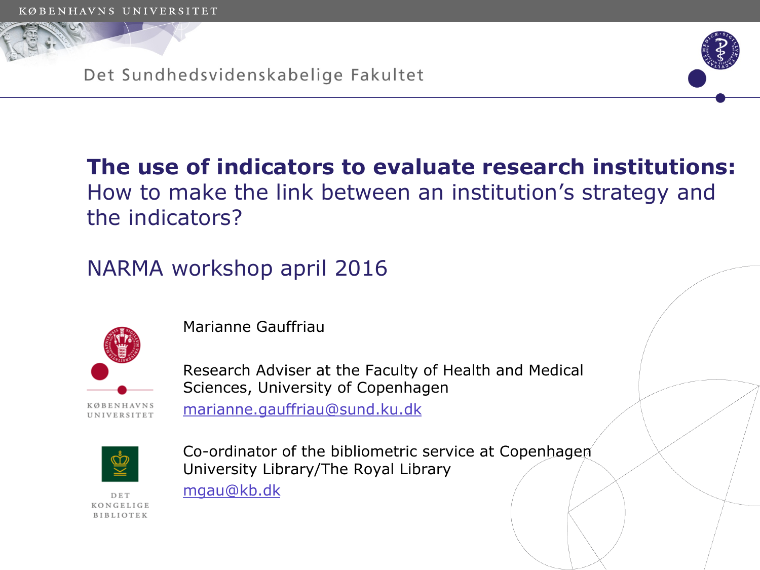Det Sundhedsvidenskabelige Fakultet



# **The use of indicators to evaluate research institutions:**  How to make the link between an institution's strategy and the indicators?

NARMA workshop april 2016



Marianne Gauffriau

Research Adviser at the Faculty of Health and Medical Sciences, University of Copenhagen marianne.gauffriau@sund.ku.dk



Co-ordinator of the bibliometric service at Copenhagen University Library/The Royal Library mgau@kb.dk

KONGELIGE BIBLIOTEK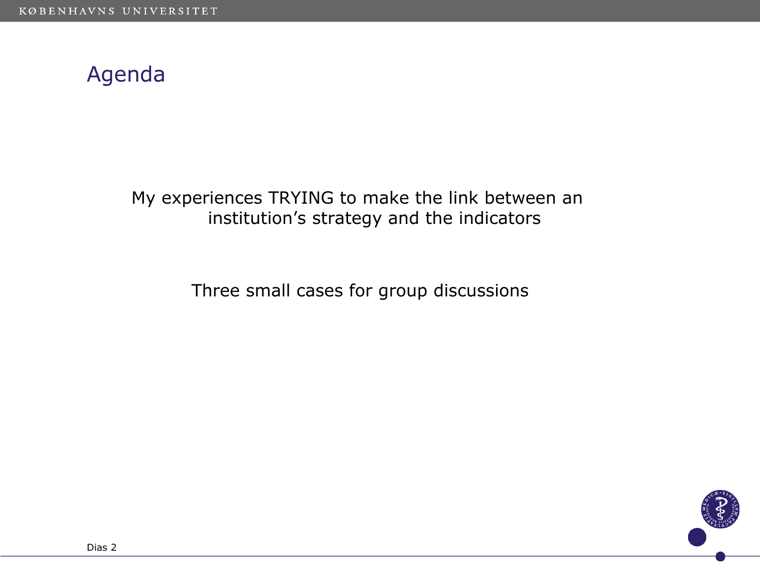# Agenda

My experiences TRYING to make the link between an institution's strategy and the indicators

Three small cases for group discussions

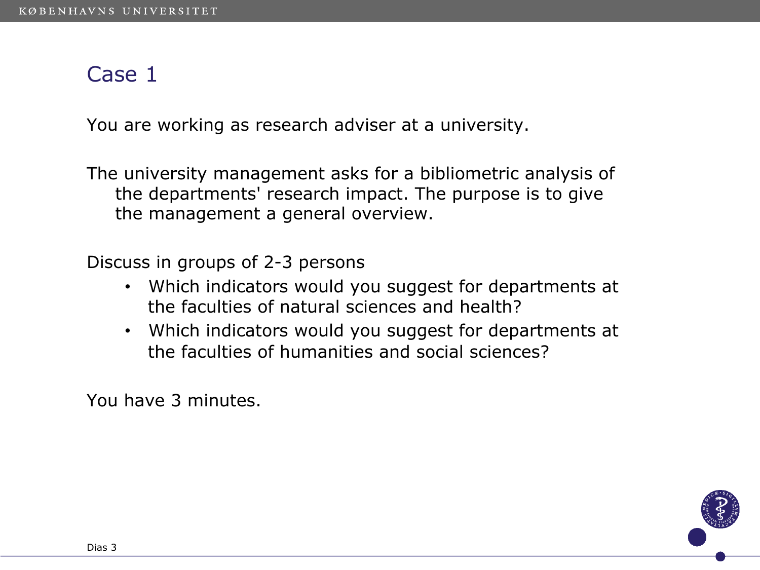#### Case 1

You are working as research adviser at a university.

The university management asks for a bibliometric analysis of the departments' research impact. The purpose is to give the management a general overview.

Discuss in groups of 2-3 persons

- Which indicators would you suggest for departments at the faculties of natural sciences and health?
- Which indicators would you suggest for departments at the faculties of humanities and social sciences?

You have 3 minutes.

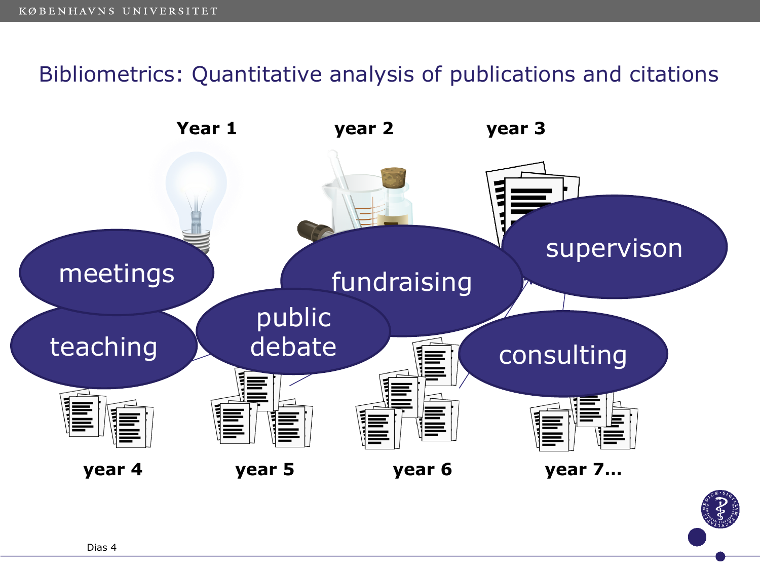## Bibliometrics: Quantitative analysis of publications and citations

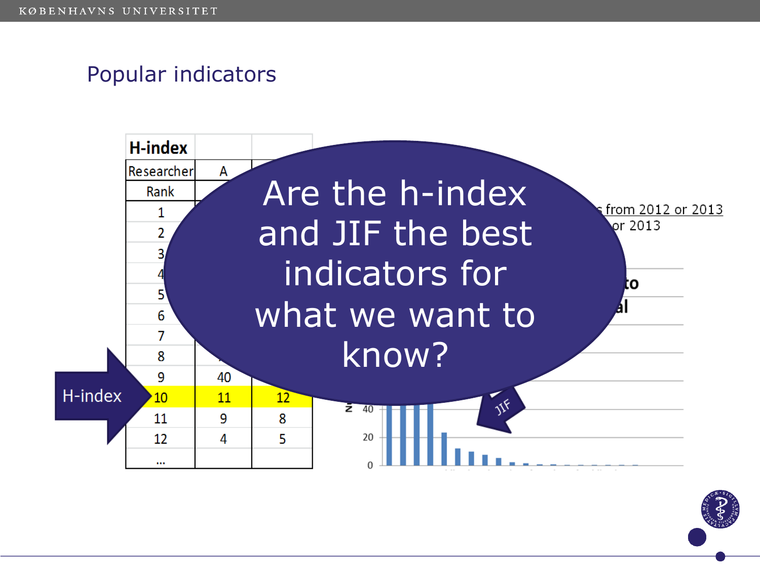# Popular indicators



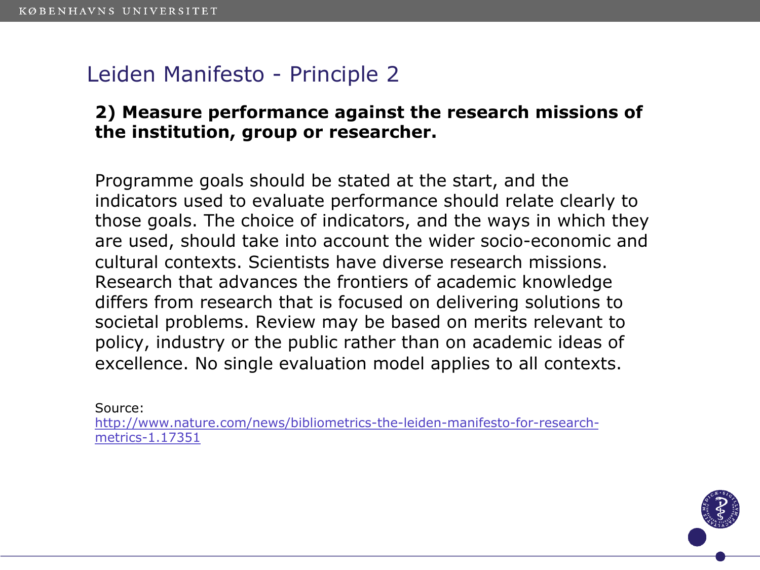## Leiden Manifesto - Principle 2

#### **2) Measure performance against the research missions of the institution, group or researcher.**

Programme goals should be stated at the start, and the indicators used to evaluate performance should relate clearly to those goals. The choice of indicators, and the ways in which they are used, should take into account the wider socio-economic and cultural contexts. Scientists have diverse research missions. Research that advances the frontiers of academic knowledge differs from research that is focused on delivering solutions to societal problems. Review may be based on merits relevant to policy, industry or the public rather than on academic ideas of excellence. No single evaluation model applies to all contexts.

Source:

http://www.nature.com/news/bibliometrics-the-leiden-manifesto-for-researchmetrics-1.17351

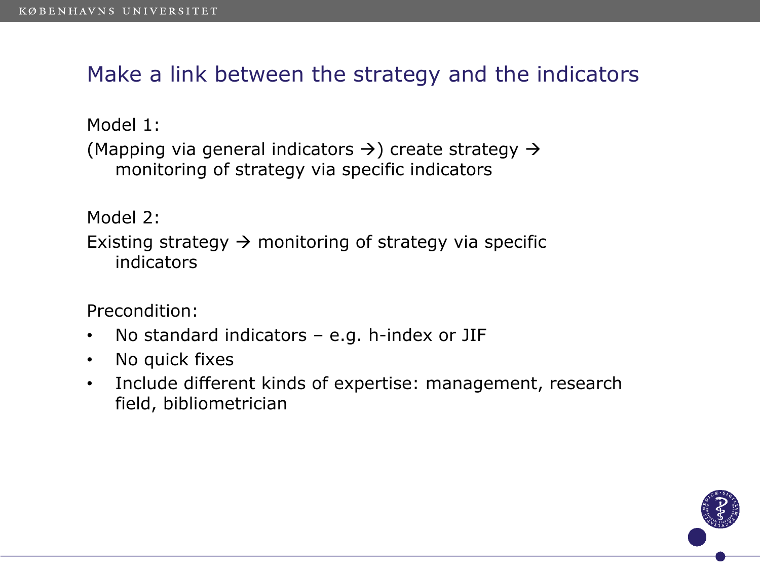Make a link between the strategy and the indicators

Model 1: (Mapping via general indicators  $\rightarrow$ ) create strategy  $\rightarrow$ monitoring of strategy via specific indicators

Model 2: Existing strategy  $\rightarrow$  monitoring of strategy via specific indicators

Precondition:

- No standard indicators e.g. h-index or JIF
- No quick fixes
- Include different kinds of expertise: management, research field, bibliometrician

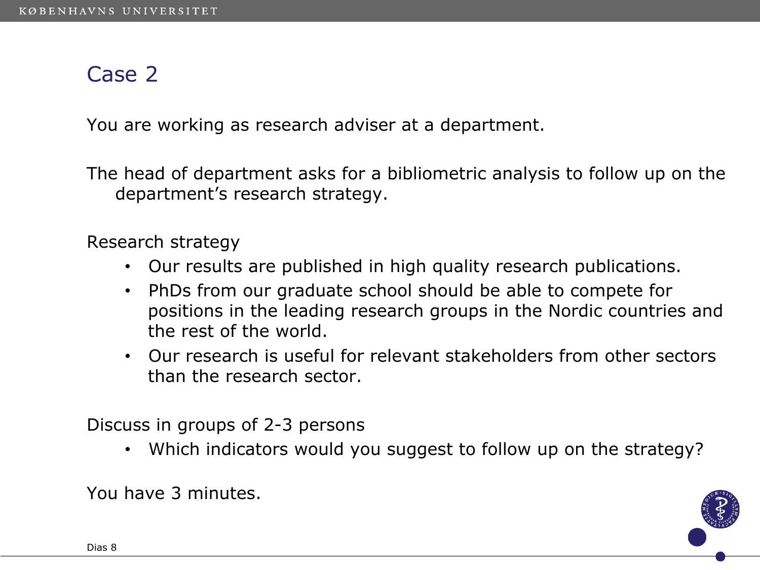#### Case 2

You are working as research adviser at a department.

The head of department asks for a bibliometric analysis to follow up on the department's research strategy.

Research strategy

- Our results are published in high quality research publications.
- PhDs from our graduate school should be able to compete for positions in the leading research groups in the Nordic countries and the rest of the world.
- Our research is useful for relevant stakeholders from other sectors than the research sector.

Discuss in groups of 2-3 persons

• Which indicators would you suggest to follow up on the strategy?

You have 3 minutes.

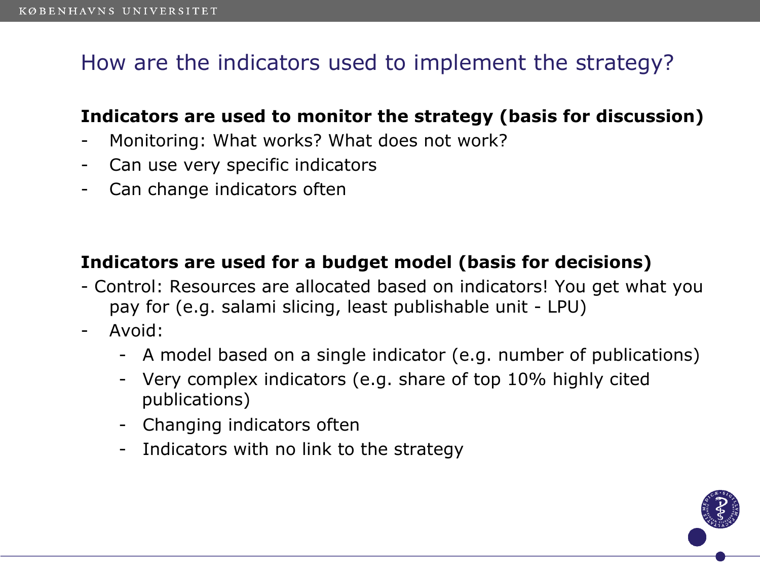# How are the indicators used to implement the strategy?

#### **Indicators are used to monitor the strategy (basis for discussion)**

- Monitoring: What works? What does not work?
- Can use very specific indicators
- Can change indicators often

#### **Indicators are used for a budget model (basis for decisions)**

- Control: Resources are allocated based on indicators! You get what you pay for (e.g. salami slicing, least publishable unit - LPU)
- Avoid:
	- A model based on a single indicator (e.g. number of publications)
	- Very complex indicators (e.g. share of top 10% highly cited publications)
	- Changing indicators often
	- Indicators with no link to the strategy

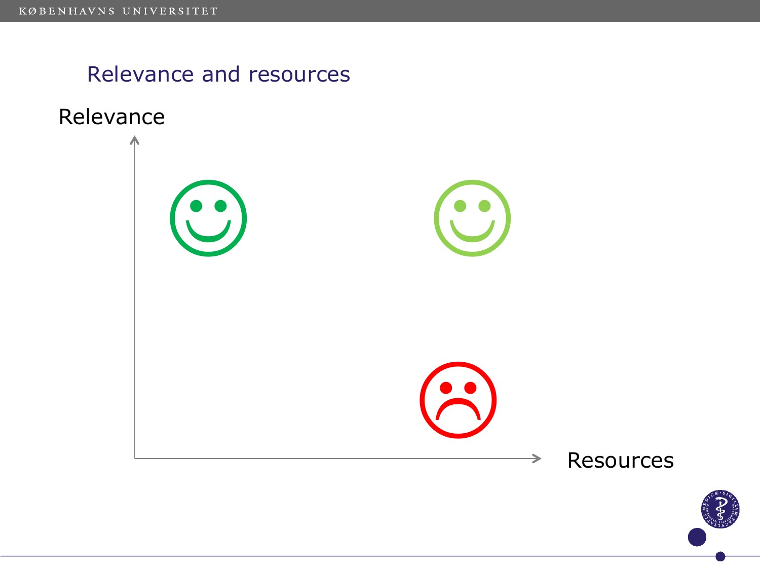# Relevance and resources



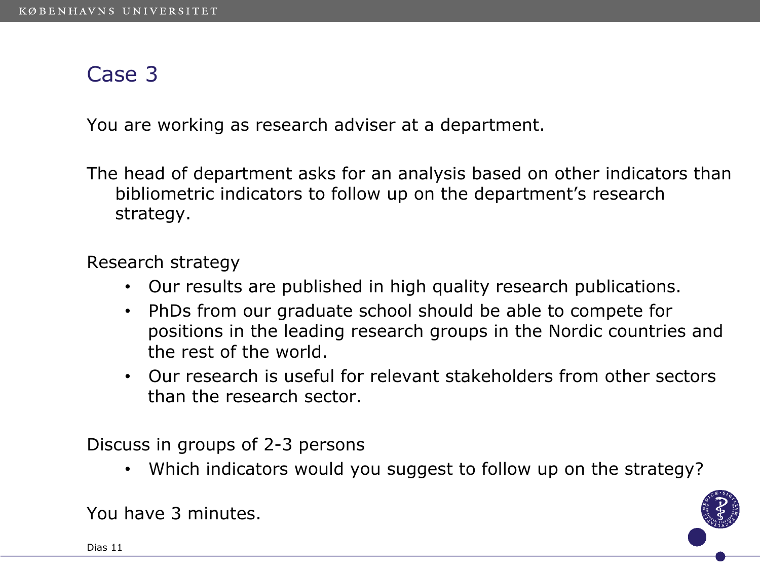#### Case 3

You are working as research adviser at a department.

The head of department asks for an analysis based on other indicators than bibliometric indicators to follow up on the department's research strategy.

Research strategy

- Our results are published in high quality research publications.
- PhDs from our graduate school should be able to compete for positions in the leading research groups in the Nordic countries and the rest of the world.
- Our research is useful for relevant stakeholders from other sectors than the research sector.

Discuss in groups of 2-3 persons

• Which indicators would you suggest to follow up on the strategy?



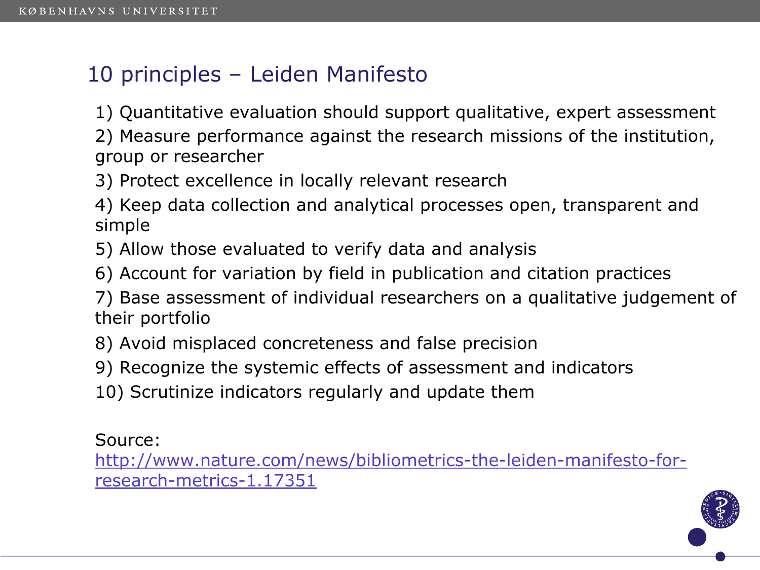# 10 principles – Leiden Manifesto

1) Quantitative evaluation should support qualitative, expert assessment

2) Measure performance against the research missions of the institution, group or researcher

3) Protect excellence in locally relevant research

4) Keep data collection and analytical processes open, transparent and simple

5) Allow those evaluated to verify data and analysis

6) Account for variation by field in publication and citation practices

7) Base assessment of individual researchers on a qualitative judgement of their portfolio

8) Avoid misplaced concreteness and false precision

9) Recognize the systemic effects of assessment and indicators

10) Scrutinize indicators regularly and update them

Source:

http://www.nature.com/news/bibliometrics-the-leiden-manifesto-forresearch-metrics-1.17351

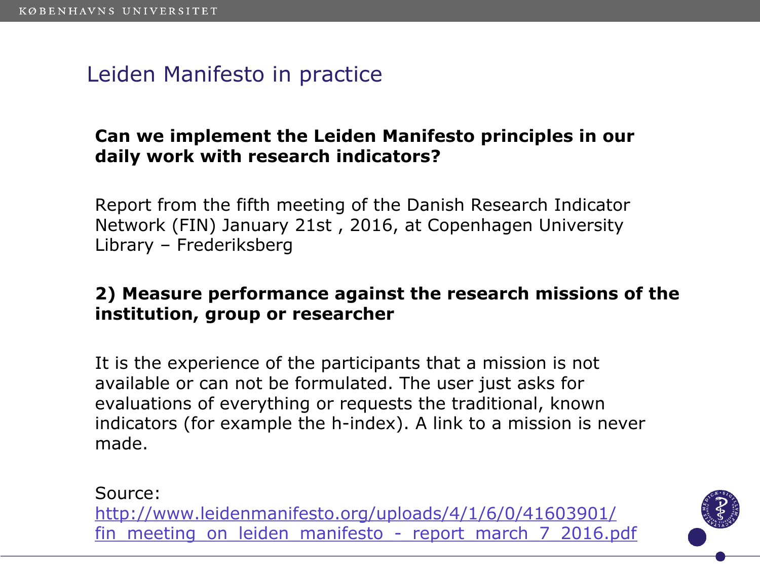# Leiden Manifesto in practice

#### **Can we implement the Leiden Manifesto principles in our daily work with research indicators?**

Report from the fifth meeting of the Danish Research Indicator Network (FIN) January 21st , 2016, at Copenhagen University Library – Frederiksberg

#### **2) Measure performance against the research missions of the institution, group or researcher**

It is the experience of the participants that a mission is not available or can not be formulated. The user just asks for evaluations of everything or requests the traditional, known indicators (for example the h-index). A link to a mission is never made.

Source: http://www.leidenmanifesto.org/uploads/4/1/6/0/41603901/ fin meeting on leiden manifesto - report march 7 2016.pdf